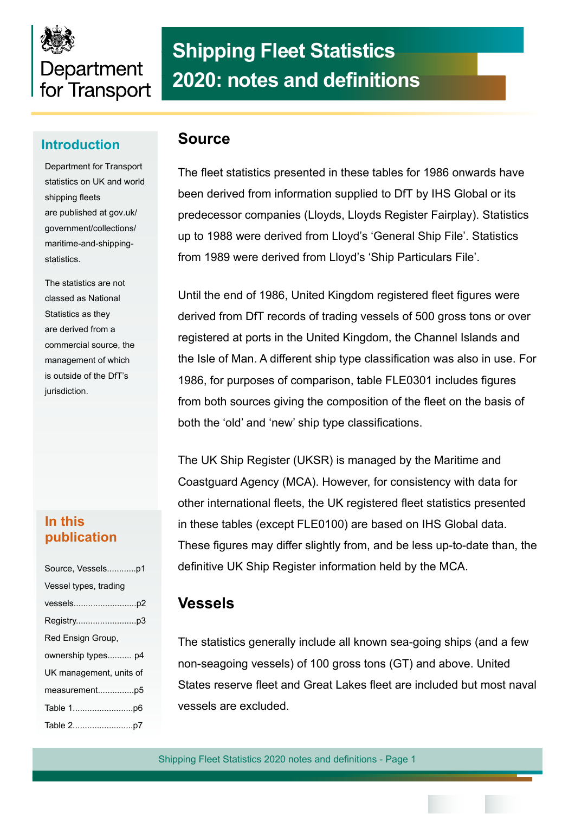# Department for Transport

# **Shipping Fleet Statistics 2020: notes and definitions**

### **Introduction Source**

Department for Transport statistics on UK and world shipping fleets are published at gov.uk/ government/collections/ maritime-and-shippingstatistics.

The statistics are not classed as National Statistics as they are derived from a commercial source, the management of which is outside of the DfT's jurisdiction.

#### **In this publication**

| Source, Vesselsp1       |  |  |  |  |  |  |  |
|-------------------------|--|--|--|--|--|--|--|
| Vessel types, trading   |  |  |  |  |  |  |  |
|                         |  |  |  |  |  |  |  |
|                         |  |  |  |  |  |  |  |
| Red Ensign Group,       |  |  |  |  |  |  |  |
| ownership types p4      |  |  |  |  |  |  |  |
| UK management, units of |  |  |  |  |  |  |  |
|                         |  |  |  |  |  |  |  |
|                         |  |  |  |  |  |  |  |
|                         |  |  |  |  |  |  |  |

The fleet statistics presented in these tables for 1986 onwards have been derived from information supplied to DfT by IHS Global or its predecessor companies (Lloyds, Lloyds Register Fairplay). Statistics up to 1988 were derived from Lloyd's 'General Ship File'. Statistics from 1989 were derived from Lloyd's 'Ship Particulars File'.

Until the end of 1986, United Kingdom registered fleet figures were derived from DfT records of trading vessels of 500 gross tons or over registered at ports in the United Kingdom, the Channel Islands and the Isle of Man. A different ship type classifcation was also in use. For 1986, for purposes of comparison, table FLE0301 includes fgures from both sources giving the composition of the feet on the basis of both the 'old' and 'new' ship type classifcations.

The UK Ship Register (UKSR) is managed by the Maritime and Coastguard Agency (MCA). However, for consistency with data for other international feets, the UK registered feet statistics presented in these tables (except FLE0100) are based on IHS Global data. These fgures may differ slightly from, and be less up-to-date than, the defnitive UK Ship Register information held by the MCA.

#### **Vessels**

The statistics generally include all known sea-going ships (and a few non-seagoing vessels) of 100 gross tons (GT) and above. United States reserve fleet and Great Lakes fleet are included but most naval vessels are excluded.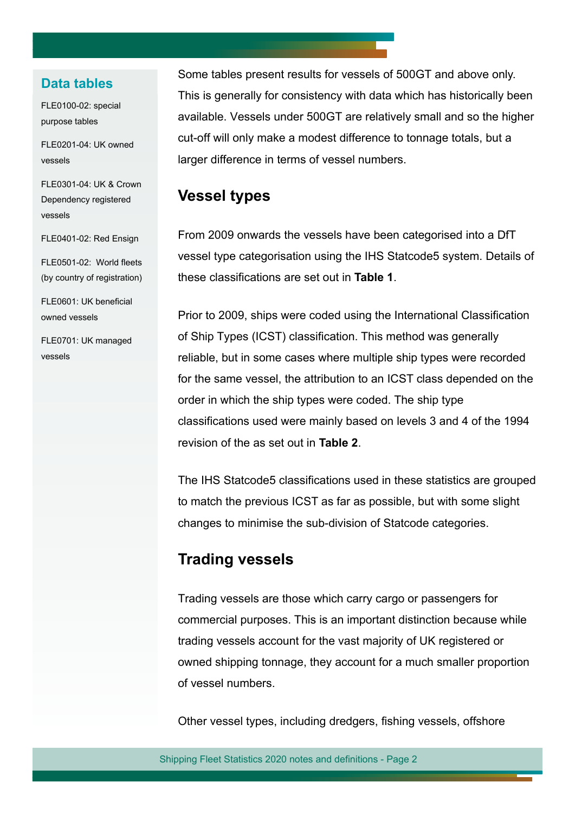#### **Data tables**

FLE0100-02: special purpose tables

FLE0201-04: UK owned vessels

FLE0301-04: UK & Crown Dependency registered vessels

FLE0401-02: Red Ensign

(by country of registration) FLE0601: UK beneficial

FLE0501-02: World fleets

owned vessels

FLE0701: UK managed vessels

Some tables present results for vessels of 500GT and above only. This is generally for consistency with data which has historically been available. Vessels under 500GT are relatively small and so the higher cut-off will only make a modest difference to tonnage totals, but a larger difference in terms of vessel numbers.

#### **Vessel types**

From 2009 onwards the vessels have been categorised into a DfT vessel type categorisation using the IHS Statcode5 system. Details of these classifications are set out in **Table 1**.

Prior to 2009, ships were coded using the International Classification of Ship Types (ICST) classification. This method was generally reliable, but in some cases where multiple ship types were recorded for the same vessel, the attribution to an ICST class depended on the order in which the ship types were coded. The ship type classifications used were mainly based on levels 3 and 4 of the 1994 revision of the as set out in **Table 2**.

The IHS Statcode5 classifications used in these statistics are grouped to match the previous ICST as far as possible, but with some slight changes to minimise the sub-division of Statcode categories.

#### **Trading vessels**

Trading vessels are those which carry cargo or passengers for commercial purposes. This is an important distinction because while trading vessels account for the vast majority of UK registered or owned shipping tonnage, they account for a much smaller proportion of vessel numbers.

Other vessel types, including dredgers, fishing vessels, offshore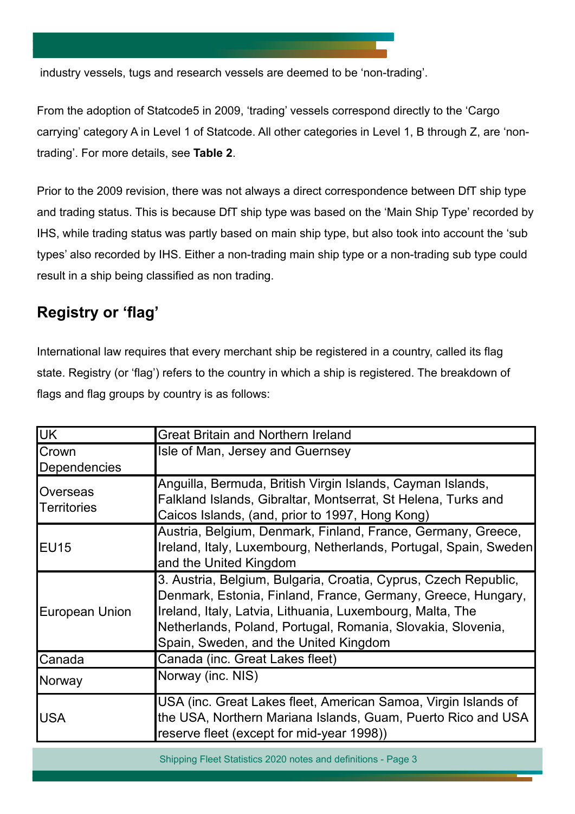industry vessels, tugs and research vessels are deemed to be 'non-trading'.

From the adoption of Statcode5 in 2009, 'trading' vessels correspond directly to the 'Cargo carrying' category A in Level 1 of Statcode. All other categories in Level 1, B through Z, are 'nontrading'. For more details, see **Table 2**.

Prior to the 2009 revision, there was not always a direct correspondence between DfT ship type and trading status. This is because DfT ship type was based on the 'Main Ship Type' recorded by IHS, while trading status was partly based on main ship type, but also took into account the 'sub types' also recorded by IHS. Either a non-trading main ship type or a non-trading sub type could result in a ship being classified as non trading.

#### **Registry or 'flag'**

International law requires that every merchant ship be registered in a country, called its flag state. Registry (or 'flag') refers to the country in which a ship is registered. The breakdown of flags and flag groups by country is as follows:

| <b>IUK</b>                     | <b>Great Britain and Northern Ireland</b>                                                                                                                                                                                                                                                            |  |  |  |  |  |
|--------------------------------|------------------------------------------------------------------------------------------------------------------------------------------------------------------------------------------------------------------------------------------------------------------------------------------------------|--|--|--|--|--|
| Crown<br>Dependencies          | Isle of Man, Jersey and Guernsey                                                                                                                                                                                                                                                                     |  |  |  |  |  |
| Overseas<br><b>Territories</b> | Anguilla, Bermuda, British Virgin Islands, Cayman Islands,<br>Falkland Islands, Gibraltar, Montserrat, St Helena, Turks and<br>Caicos Islands, (and, prior to 1997, Hong Kong)                                                                                                                       |  |  |  |  |  |
| <b>EU15</b>                    | Austria, Belgium, Denmark, Finland, France, Germany, Greece,<br>Ireland, Italy, Luxembourg, Netherlands, Portugal, Spain, Sweden<br>and the United Kingdom                                                                                                                                           |  |  |  |  |  |
| <b>European Union</b>          | 3. Austria, Belgium, Bulgaria, Croatia, Cyprus, Czech Republic,<br>Denmark, Estonia, Finland, France, Germany, Greece, Hungary,<br>Ireland, Italy, Latvia, Lithuania, Luxembourg, Malta, The<br>Netherlands, Poland, Portugal, Romania, Slovakia, Slovenia,<br>Spain, Sweden, and the United Kingdom |  |  |  |  |  |
| Canada                         | Canada (inc. Great Lakes fleet)                                                                                                                                                                                                                                                                      |  |  |  |  |  |
| Norway                         | Norway (inc. NIS)                                                                                                                                                                                                                                                                                    |  |  |  |  |  |
| <b>USA</b>                     | USA (inc. Great Lakes fleet, American Samoa, Virgin Islands of<br>the USA, Northern Mariana Islands, Guam, Puerto Rico and USA<br>reserve fleet (except for mid-year 1998))                                                                                                                          |  |  |  |  |  |

Shipping Fleet Statistics 2020 notes and definitions - Page 3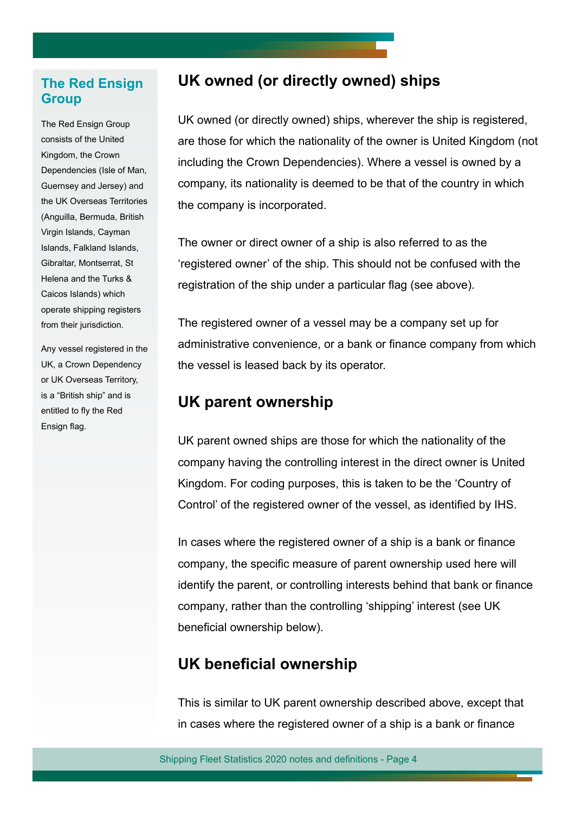#### **The Red Ensign Group**

The Red Ensign Group consists of the United Kingdom, the Crown Dependencies (Isle of Man, Guernsey and Jersey) and the UK Overseas Territories (Anguilla, Bermuda, British Virgin Islands, Cayman Islands, Falkland Islands, Gibraltar, Montserrat, St Helena and the Turks & Caicos Islands) which operate shipping registers from their jurisdiction.

Any vessel registered in the UK, a Crown Dependency or UK Overseas Territory, is a "British ship" and is entitled to fly the Red Ensign flag.

#### **UK owned (or directly owned) ships**

UK owned (or directly owned) ships, wherever the ship is registered, are those for which the nationality of the owner is United Kingdom (not including the Crown Dependencies). Where a vessel is owned by a company, its nationality is deemed to be that of the country in which the company is incorporated.

The owner or direct owner of a ship is also referred to as the 'registered owner' of the ship. This should not be confused with the registration of the ship under a particular flag (see above).

The registered owner of a vessel may be a company set up for administrative convenience, or a bank or fnance company from which the vessel is leased back by its operator.

#### **UK parent ownership**

UK parent owned ships are those for which the nationality of the company having the controlling interest in the direct owner is United Kingdom. For coding purposes, this is taken to be the 'Country of Control' of the registered owner of the vessel, as identified by IHS.

In cases where the registered owner of a ship is a bank or finance company, the specific measure of parent ownership used here will identify the parent, or controlling interests behind that bank or finance company, rather than the controlling 'shipping' interest (see UK beneficial ownership below).

#### **UK beneficial ownership**

This is similar to UK parent ownership described above, except that in cases where the registered owner of a ship is a bank or fnance

Shipping Fleet Statistics 2020 notes and definitions - Page 4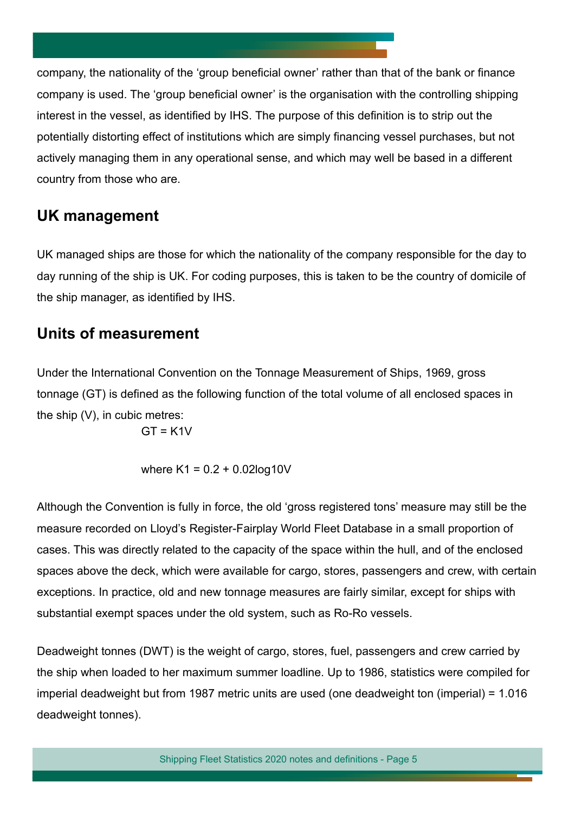company, the nationality of the 'group beneficial owner' rather than that of the bank or finance company is used. The 'group beneficial owner' is the organisation with the controlling shipping interest in the vessel, as identified by IHS. The purpose of this definition is to strip out the potentially distorting effect of institutions which are simply fnancing vessel purchases, but not actively managing them in any operational sense, and which may well be based in a different country from those who are.

#### **UK management**

UK managed ships are those for which the nationality of the company responsible for the day to day running of the ship is UK. For coding purposes, this is taken to be the country of domicile of the ship manager, as identifed by IHS.

#### **Units of measurement**

Under the International Convention on the Tonnage Measurement of Ships, 1969, gross tonnage (GT) is defined as the following function of the total volume of all enclosed spaces in the ship (V), in cubic metres:

 $GT = K1V$ 

where  $K1 = 0.2 + 0.02$ log10V

Although the Convention is fully in force, the old 'gross registered tons' measure may still be the measure recorded on Lloyd's Register-Fairplay World Fleet Database in a small proportion of cases. This was directly related to the capacity of the space within the hull, and of the enclosed spaces above the deck, which were available for cargo, stores, passengers and crew, with certain exceptions. In practice, old and new tonnage measures are fairly similar, except for ships with substantial exempt spaces under the old system, such as Ro-Ro vessels.

Deadweight tonnes (DWT) is the weight of cargo, stores, fuel, passengers and crew carried by the ship when loaded to her maximum summer loadline. Up to 1986, statistics were compiled for imperial deadweight but from 1987 metric units are used (one deadweight ton (imperial) = 1.016 deadweight tonnes).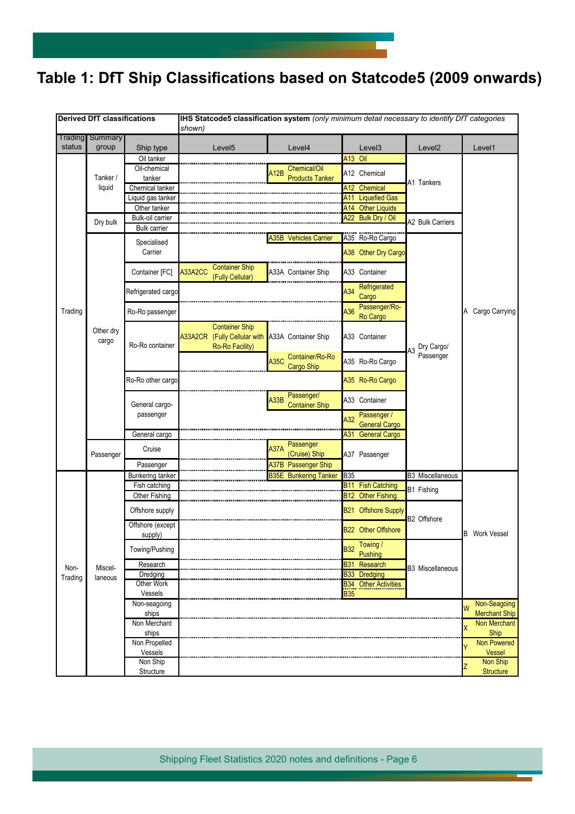## **Table 1: DfT Ship Classifcations based on Statcode5 (2009 onwards)**

| <b>Derived DfT classifications</b> |                    |                                   | IHS Statcode5 classification system (only minimum detail necessary to identify DfT categories<br>shown) |             |                                      |                          |                                              |                         |                           |  |  |
|------------------------------------|--------------------|-----------------------------------|---------------------------------------------------------------------------------------------------------|-------------|--------------------------------------|--------------------------|----------------------------------------------|-------------------------|---------------------------|--|--|
| Trading                            | Summary            |                                   |                                                                                                         |             |                                      |                          |                                              |                         |                           |  |  |
| status                             | group              | Ship type                         | Level <sub>5</sub>                                                                                      |             | Level4                               |                          | Level <sub>3</sub>                           | Level <sub>2</sub>      | Level1                    |  |  |
|                                    | Tanker /<br>liquid | Oil tanker                        |                                                                                                         |             |                                      | A13 Oil                  |                                              |                         |                           |  |  |
|                                    |                    | Oil-chemical                      |                                                                                                         | A12B        | Chemical/Oil                         |                          | A12 Chemical                                 |                         |                           |  |  |
|                                    |                    | tanker                            |                                                                                                         |             | <b>Products Tanker</b><br>A12        |                          |                                              | A1 Tankers              |                           |  |  |
|                                    |                    | Chemical tanker                   |                                                                                                         |             |                                      | Chemical                 |                                              |                         |                           |  |  |
|                                    |                    | Liquid gas tanker<br>Other tanker |                                                                                                         |             |                                      | A11                      | <b>Liquefied Gas</b><br>A14 Other Liquids    |                         |                           |  |  |
|                                    |                    | <b>Bulk-oil carrier</b>           |                                                                                                         |             |                                      |                          | A22 Bulk Dry / Oil                           |                         |                           |  |  |
|                                    | Dry bulk           | <b>Bulk carrier</b>               |                                                                                                         |             |                                      |                          |                                              | <b>A2 Bulk Carriers</b> |                           |  |  |
|                                    |                    | Specialised<br>Carrier            |                                                                                                         |             | A35B Vehicles Carrier                |                          | A35 Ro-Ro Cargo                              |                         |                           |  |  |
|                                    |                    |                                   |                                                                                                         |             |                                      |                          | A38 Other Dry Cargo                          |                         |                           |  |  |
|                                    |                    |                                   |                                                                                                         |             |                                      |                          |                                              |                         |                           |  |  |
|                                    |                    | Container [FC]                    | <b>Container Ship</b><br>A33A2CC<br>(Fully Cellular)                                                    |             | A33A Container Ship                  |                          | A33 Container                                |                         |                           |  |  |
|                                    |                    |                                   |                                                                                                         |             |                                      |                          | Refrigerated                                 |                         |                           |  |  |
|                                    |                    | Refrigerated cargo                |                                                                                                         |             |                                      | A34                      | Cargo                                        |                         |                           |  |  |
|                                    |                    |                                   |                                                                                                         |             |                                      |                          | Passenger/Ro-                                |                         |                           |  |  |
| Trading                            |                    | Ro-Ro passenger                   |                                                                                                         |             |                                      | A36                      | Ro Cargo                                     |                         | A Cargo Carrying          |  |  |
|                                    | Other dry          |                                   | <b>Container Ship</b>                                                                                   |             |                                      |                          |                                              |                         |                           |  |  |
|                                    | cargo              |                                   | A33A2CR (Fully Cellular with A33A Container Ship                                                        |             |                                      |                          | A33 Container                                |                         |                           |  |  |
|                                    |                    | Ro-Ro container                   | Ro-Ro Facility)                                                                                         |             |                                      |                          |                                              | Dry Cargo/              |                           |  |  |
|                                    |                    |                                   |                                                                                                         | <b>A35C</b> | Container/Ro-Ro<br><b>Cargo Ship</b> |                          | A35 Ro-Ro Cargo                              | Passenger               |                           |  |  |
|                                    |                    |                                   |                                                                                                         |             |                                      |                          |                                              |                         |                           |  |  |
|                                    |                    | Ro-Ro other cargo                 |                                                                                                         |             |                                      |                          | A35 Ro-Ro Cargo                              |                         |                           |  |  |
|                                    |                    | General cargo-<br>passenger       |                                                                                                         | A33B        | Passenger/                           |                          | A33 Container<br>Passenger /                 |                         |                           |  |  |
|                                    |                    |                                   |                                                                                                         |             | <b>Container Ship</b>                |                          |                                              |                         |                           |  |  |
|                                    |                    |                                   |                                                                                                         |             |                                      | A32                      |                                              |                         |                           |  |  |
|                                    |                    | General cargo                     |                                                                                                         |             |                                      | A31                      | <b>General Cargo</b><br><b>General Cargo</b> |                         |                           |  |  |
|                                    | Passenger          |                                   |                                                                                                         |             | Passenger                            |                          |                                              |                         |                           |  |  |
|                                    |                    | Cruise                            |                                                                                                         | <b>A37A</b> | (Cruise) Ship                        |                          | A37 Passenger                                |                         |                           |  |  |
|                                    |                    | Passenger                         |                                                                                                         |             | A37B Passenger Ship                  |                          |                                              |                         |                           |  |  |
|                                    | Miscel-<br>laneous | <b>Bunkering tanker</b>           |                                                                                                         |             | <b>B35E</b> Bunkering Tanker         | <b>B35</b>               |                                              | <b>B3 Miscellaneous</b> |                           |  |  |
|                                    |                    | Fish catching                     |                                                                                                         |             |                                      | <b>B11</b>               | <b>Fish Catching</b>                         | B1 Fishing              | <b>B</b> Work Vessel      |  |  |
|                                    |                    | Other Fishing                     |                                                                                                         |             |                                      | <b>B12</b>               | <b>Other Fishing</b>                         |                         |                           |  |  |
|                                    |                    | Offshore supply                   |                                                                                                         |             |                                      |                          | <b>B21 Offshore Supply</b>                   |                         |                           |  |  |
|                                    |                    | Offshore (except                  |                                                                                                         |             |                                      |                          |                                              | B2 Offshore             |                           |  |  |
|                                    |                    | supply)                           |                                                                                                         |             |                                      |                          | <b>B22 Other Offshore</b>                    |                         |                           |  |  |
|                                    |                    | Towing/Pushing                    |                                                                                                         |             |                                      | <b>B32</b>               | <b>Towing</b> /                              |                         |                           |  |  |
|                                    |                    |                                   |                                                                                                         |             |                                      |                          | Pushing                                      |                         |                           |  |  |
| Non-                               |                    | Research                          |                                                                                                         |             | <b>B31</b>                           | Research                 | <b>B3 Miscellaneous</b>                      |                         |                           |  |  |
| Trading                            |                    | Dredging<br>Other Work            | <b>B33</b><br><b>Dredging</b>                                                                           |             |                                      |                          |                                              |                         |                           |  |  |
|                                    |                    | Vessels                           |                                                                                                         |             |                                      | <b>B34</b><br><b>B35</b> | <b>Other Activities</b>                      |                         |                           |  |  |
|                                    |                    | Non-seagoing                      |                                                                                                         |             |                                      |                          |                                              |                         | Non-Seagoing              |  |  |
|                                    |                    | ships                             |                                                                                                         |             |                                      |                          |                                              |                         | W<br><b>Merchant Ship</b> |  |  |
|                                    |                    | Non Merchant                      |                                                                                                         |             |                                      |                          |                                              |                         | Non Merchant<br>χ         |  |  |
|                                    |                    | ships                             |                                                                                                         |             |                                      |                          |                                              |                         | Ship                      |  |  |
|                                    |                    | Non Propelled                     |                                                                                                         |             |                                      |                          |                                              |                         | Non Powered               |  |  |
|                                    |                    | Vessels<br>Non Ship               |                                                                                                         |             |                                      |                          |                                              |                         | Vessel<br>Non Ship        |  |  |
|                                    |                    | Structure                         |                                                                                                         |             |                                      |                          |                                              |                         | Z<br><b>Structure</b>     |  |  |